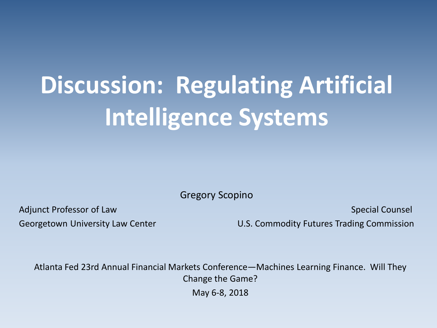# **Discussion: Regulating Artificial Intelligence Systems**

Gregory Scopino

Adjunct Professor of Law Special Counsel and the set of the set of the set of the Special Counsel

Georgetown University Law Center **Network Commodity Futures Trading Commission** 

Atlanta Fed 23rd Annual Financial Markets Conference—Machines Learning Finance. Will They Change the Game?

May 6-8, 2018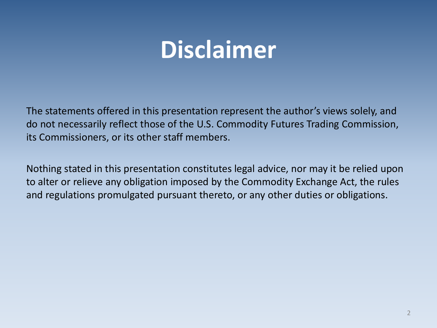### **Disclaimer**

The statements offered in this presentation represent the author's views solely, and do not necessarily reflect those of the U.S. Commodity Futures Trading Commission, its Commissioners, or its other staff members.

Nothing stated in this presentation constitutes legal advice, nor may it be relied upon to alter or relieve any obligation imposed by the Commodity Exchange Act, the rules and regulations promulgated pursuant thereto, or any other duties or obligations.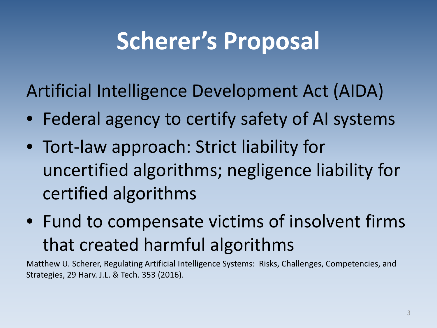# **Scherer's Proposal**

Artificial Intelligence Development Act (AIDA)

- Federal agency to certify safety of AI systems
- Tort-law approach: Strict liability for uncertified algorithms; negligence liability for certified algorithms
- Fund to compensate victims of insolvent firms that created harmful algorithms

Matthew U. Scherer, Regulating Artificial Intelligence Systems: Risks, Challenges, Competencies, and Strategies, 29 Harv. J.L. & Tech. 353 (2016).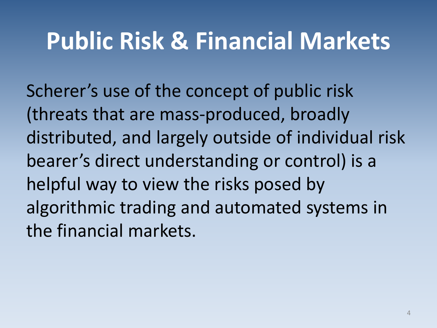#### **Public Risk & Financial Markets**

Scherer's use of the concept of public risk (threats that are mass-produced, broadly distributed, and largely outside of individual risk bearer's direct understanding or control) is a helpful way to view the risks posed by algorithmic trading and automated systems in the financial markets.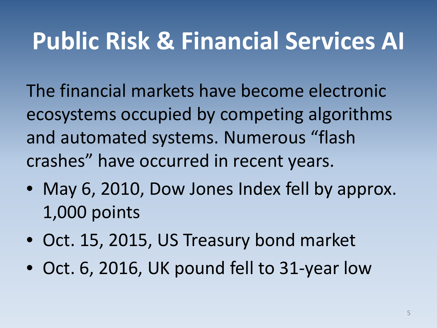### **Public Risk & Financial Services AI**

The financial markets have become electronic ecosystems occupied by competing algorithms and automated systems. Numerous "flash crashes" have occurred in recent years.

- May 6, 2010, Dow Jones Index fell by approx. 1,000 points
- Oct. 15, 2015, US Treasury bond market
- Oct. 6, 2016, UK pound fell to 31-year low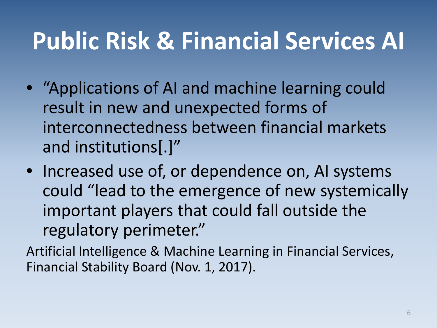# **Public Risk & Financial Services AI**

- "Applications of AI and machine learning could result in new and unexpected forms of interconnectedness between financial markets and institutions[.]"
- Increased use of, or dependence on, AI systems could "lead to the emergence of new systemically important players that could fall outside the regulatory perimeter."

Artificial Intelligence & Machine Learning in Financial Services, Financial Stability Board (Nov. 1, 2017).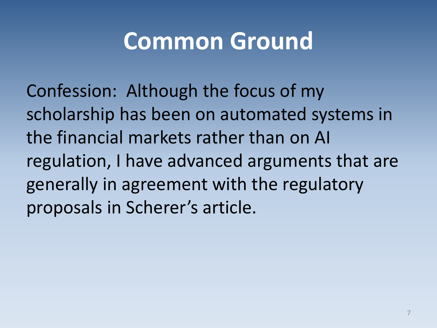#### **Common Ground**

Confession: Although the focus of my scholarship has been on automated systems in the financial markets rather than on AI regulation, I have advanced arguments that are generally in agreement with the regulatory proposals in Scherer's article.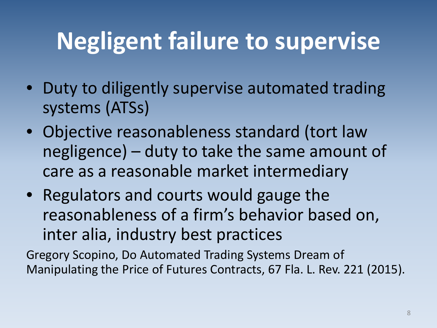# **Negligent failure to supervise**

- Duty to diligently supervise automated trading systems (ATSs)
- Objective reasonableness standard (tort law negligence) – duty to take the same amount of care as a reasonable market intermediary
- Regulators and courts would gauge the reasonableness of a firm's behavior based on, inter alia, industry best practices

Gregory Scopino, Do Automated Trading Systems Dream of Manipulating the Price of Futures Contracts, 67 Fla. L. Rev. 221 (2015).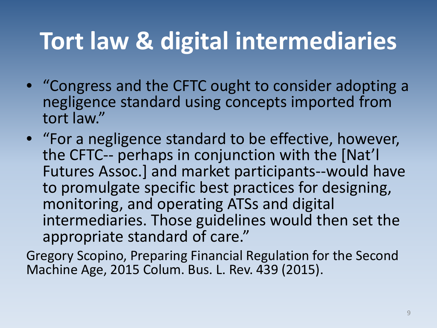# **Tort law & digital intermediaries**

- "Congress and the CFTC ought to consider adopting a negligence standard using concepts imported from tort law."
- "For a negligence standard to be effective, however, the CFTC-- perhaps in conjunction with the [Nat'l Futures Assoc.] and market participants--would have to promulgate specific best practices for designing, monitoring, and operating ATSs and digital intermediaries. Those guidelines would then set the appropriate standard of care."
- Gregory Scopino, Preparing Financial Regulation for the Second Machine Age, 2015 Colum. Bus. L. Rev. 439 (2015).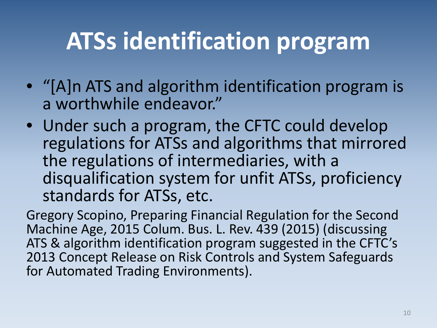#### **ATSs identification program**

- "[A]n ATS and algorithm identification program is a worthwhile endeavor."
- Under such a program, the CFTC could develop regulations for ATSs and algorithms that mirrored the regulations of intermediaries, with a disqualification system for unfit ATSs, proficiency standards for ATSs, etc.

Gregory Scopino, Preparing Financial Regulation for the Second Machine Age, 2015 Colum. Bus. L. Rev. 439 (2015) (discussing ATS & algorithm identification program suggested in the CFTC's 2013 Concept Release on Risk Controls and System Safeguards for Automated Trading Environments).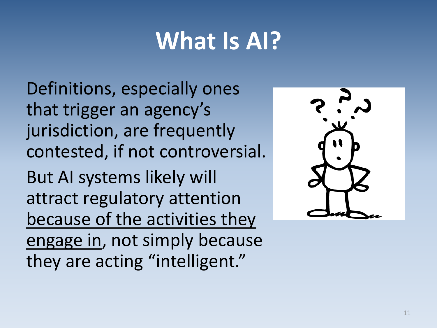# **What Is AI?**

Definitions, especially ones that trigger an agency's jurisdiction, are frequently contested, if not controversial.

But AI systems likely will attract regulatory attention because of the activities they engage in, not simply because they are acting "intelligent."

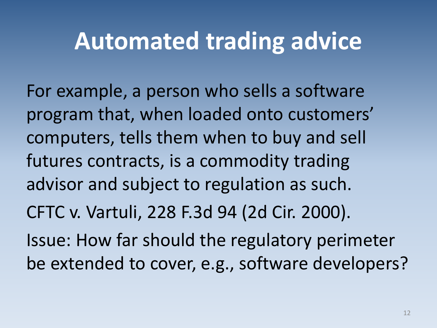#### **Automated trading advice**

For example, a person who sells a software program that, when loaded onto customers' computers, tells them when to buy and sell futures contracts, is a commodity trading advisor and subject to regulation as such. CFTC v. Vartuli, 228 F.3d 94 (2d Cir. 2000). Issue: How far should the regulatory perimeter be extended to cover, e.g., software developers?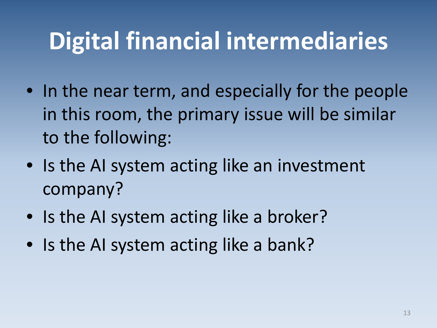# **Digital financial intermediaries**

- In the near term, and especially for the people in this room, the primary issue will be similar to the following:
- Is the AI system acting like an investment company?
- Is the AI system acting like a broker?
- Is the AI system acting like a bank?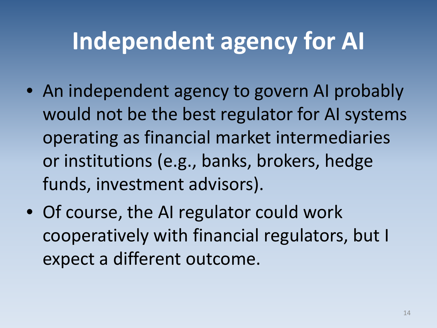# **Independent agency for AI**

- An independent agency to govern AI probably would not be the best regulator for AI systems operating as financial market intermediaries or institutions (e.g., banks, brokers, hedge funds, investment advisors).
- Of course, the AI regulator could work cooperatively with financial regulators, but I expect a different outcome.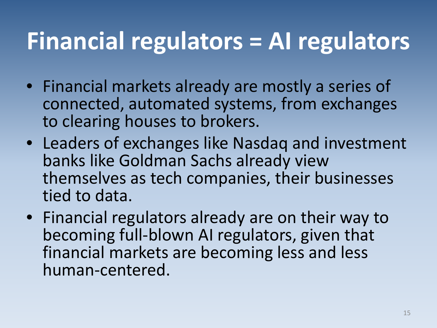### **Financial regulators = AI regulators**

- Financial markets already are mostly a series of connected, automated systems, from exchanges to clearing houses to brokers.
- Leaders of exchanges like Nasdaq and investment banks like Goldman Sachs already view themselves as tech companies, their businesses tied to data.
- Financial regulators already are on their way to becoming full-blown AI regulators, given that financial markets are becoming less and less human-centered.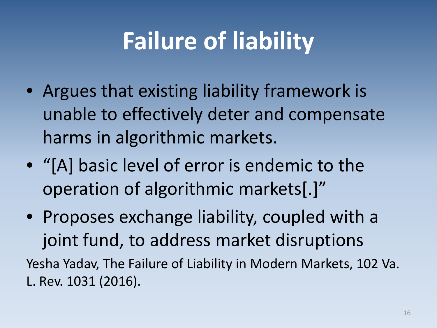# **Failure of liability**

- Argues that existing liability framework is unable to effectively deter and compensate harms in algorithmic markets.
- "[A] basic level of error is endemic to the operation of algorithmic markets[.]"
- Proposes exchange liability, coupled with a joint fund, to address market disruptions

Yesha Yadav, The Failure of Liability in Modern Markets, 102 Va. L. Rev. 1031 (2016).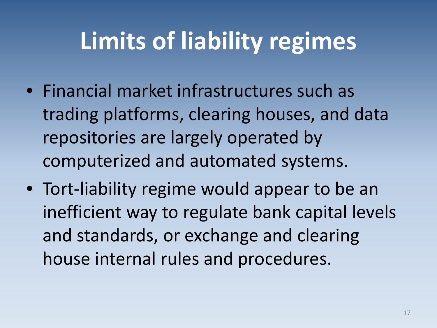# **Limits of liability regimes**

- Financial market infrastructures such as trading platforms, clearing houses, and data repositories are largely operated by computerized and automated systems.
- Tort-liability regime would appear to be an inefficient way to regulate bank capital levels and standards, or exchange and clearing house internal rules and procedures.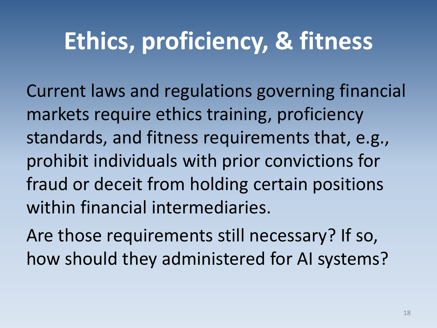### **Ethics, proficiency, & fitness**

Current laws and regulations governing financial markets require ethics training, proficiency standards, and fitness requirements that, e.g., prohibit individuals with prior convictions for fraud or deceit from holding certain positions within financial intermediaries.

Are those requirements still necessary? If so, how should they administered for AI systems?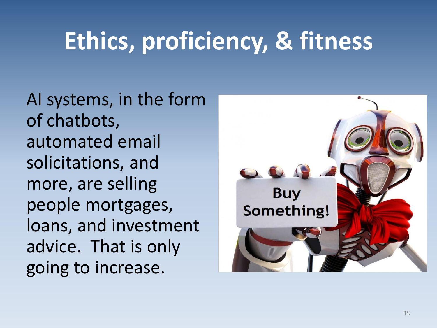# **Ethics, proficiency, & fitness**

AI systems, in the form of chatbots, automated email solicitations, and more, are selling people mortgages, loans, and investment advice. That is only going to increase.

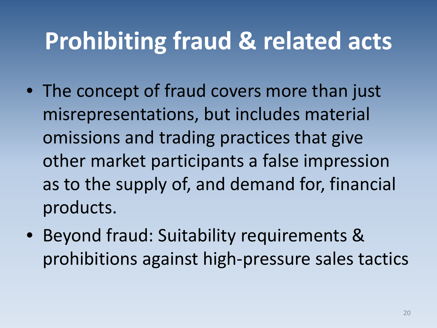### **Prohibiting fraud & related acts**

- The concept of fraud covers more than just misrepresentations, but includes material omissions and trading practices that give other market participants a false impression as to the supply of, and demand for, financial products.
- Beyond fraud: Suitability requirements & prohibitions against high-pressure sales tactics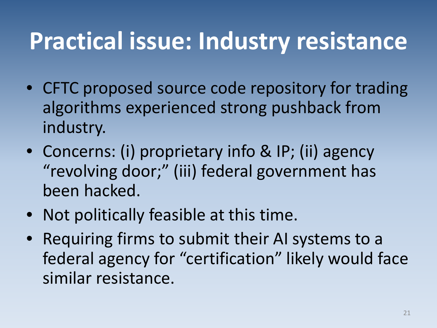### **Practical issue: Industry resistance**

- CFTC proposed source code repository for trading algorithms experienced strong pushback from industry.
- Concerns: (i) proprietary info & IP; (ii) agency "revolving door;" (iii) federal government has been hacked.
- Not politically feasible at this time.
- Requiring firms to submit their AI systems to a federal agency for "certification" likely would face similar resistance.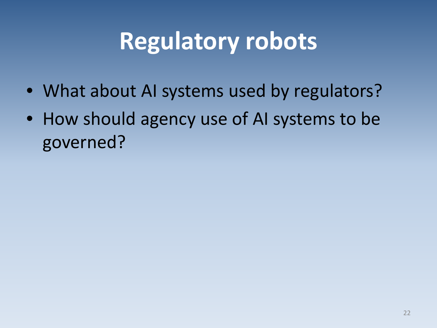### **Regulatory robots**

- What about AI systems used by regulators?
- How should agency use of AI systems to be governed?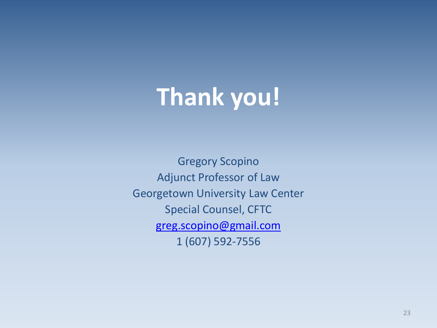# **Thank you!**

Gregory Scopino Adjunct Professor of Law Georgetown University Law Center Special Counsel, CFTC [greg.scopino@gmail.com](mailto:greg.scopino@gmail.com) 1 (607) 592-7556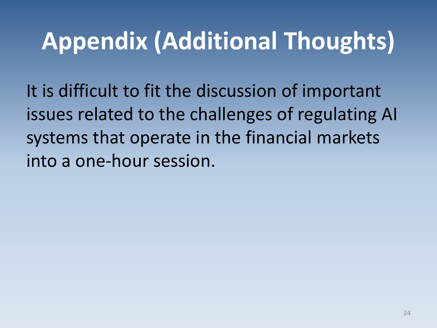# **Appendix (Additional Thoughts)**

It is difficult to fit the discussion of important issues related to the challenges of regulating AI systems that operate in the financial markets into a one-hour session.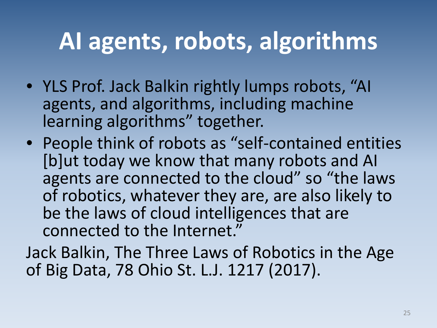### **AI agents, robots, algorithms**

- YLS Prof. Jack Balkin rightly lumps robots, "AI agents, and algorithms, including machine learning algorithms" together.
- People think of robots as "self-contained entities [b]ut today we know that many robots and AI agents are connected to the cloud" so "the laws of robotics, whatever they are, are also likely to be the laws of cloud intelligences that are connected to the Internet."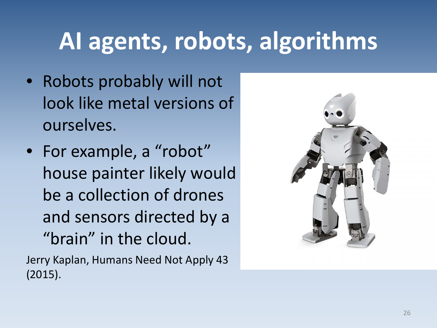# **AI agents, robots, algorithms**

- Robots probably will not look like metal versions of ourselves.
- For example, a "robot" house painter likely would be a collection of drones and sensors directed by a "brain" in the cloud.

Jerry Kaplan, Humans Need Not Apply 43 (2015).

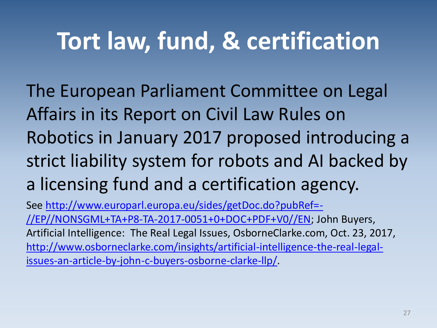#### **Tort law, fund, & certification**

The European Parliament Committee on Legal Affairs in its Report on Civil Law Rules on Robotics in January 2017 proposed introducing a strict liability system for robots and AI backed by a licensing fund and a certification agency.

[See http://www.europarl.europa.eu/sides/getDoc.do?pubRef=-](http://www.europarl.europa.eu/sides/getDoc.do?pubRef=-//EP//NONSGML+TA+P8-TA-2017-0051+0+DOC+PDF+V0//EN) //EP//NONSGML+TA+P8-TA-2017-0051+0+DOC+PDF+V0//EN; John Buyers, Artificial Intelligence: The Real Legal Issues, OsborneClarke.com, Oct. 23, 2017, [http://www.osborneclarke.com/insights/artificial-intelligence-the-real-legal](http://www.osborneclarke.com/insights/artificial-intelligence-the-real-legal-issues-an-article-by-john-c-buyers-osborne-clarke-llp/)issues-an-article-by-john-c-buyers-osborne-clarke-llp/.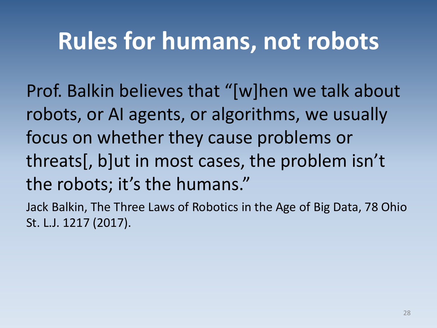Prof. Balkin believes that "[w]hen we talk about robots, or AI agents, or algorithms, we usually focus on whether they cause problems or threats[, b]ut in most cases, the problem isn't the robots; it's the humans."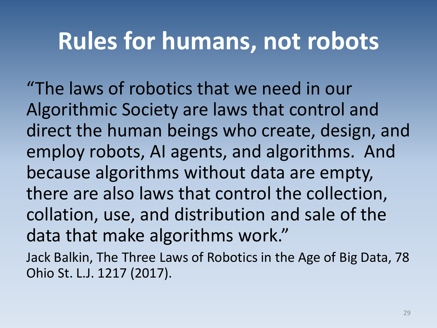"The laws of robotics that we need in our Algorithmic Society are laws that control and direct the human beings who create, design, and employ robots, AI agents, and algorithms. And because algorithms without data are empty, there are also laws that control the collection, collation, use, and distribution and sale of the data that make algorithms work."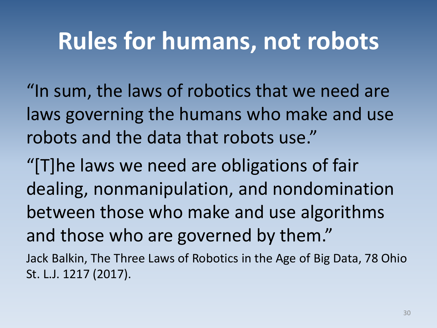"In sum, the laws of robotics that we need are laws governing the humans who make and use robots and the data that robots use."

"[T]he laws we need are obligations of fair dealing, nonmanipulation, and nondomination between those who make and use algorithms and those who are governed by them."